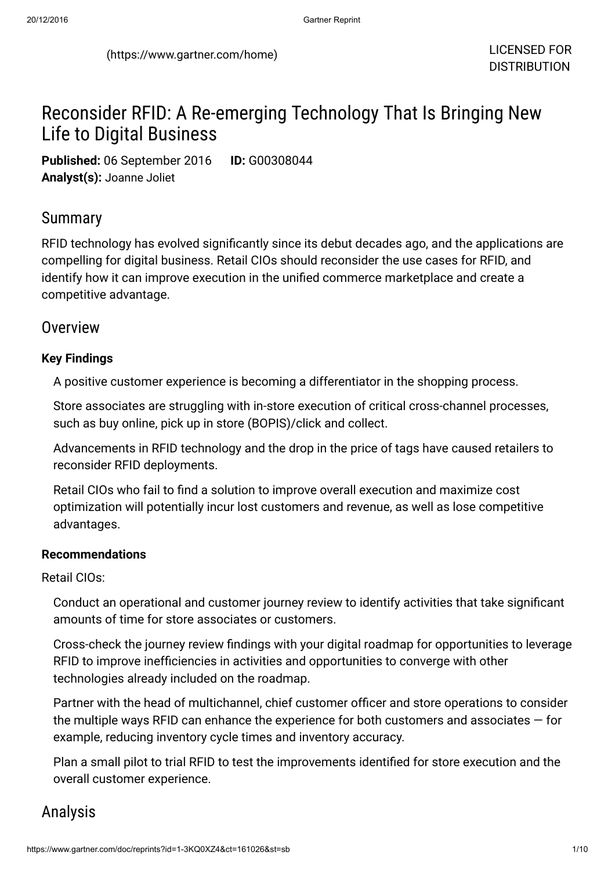# Reconsider RFID: A Re-emerging Technology That Is Bringing New Life to Digital Business

Published: 06 September 2016 ID: G00308044 Analyst(s): Joanne Joliet

## Summary

RFID technology has evolved significantly since its debut decades ago, and the applications are compelling for digital business. Retail CIOs should reconsider the use cases for RFID, and identify how it can improve execution in the unified commerce marketplace and create a competitive advantage.

## **Overview**

### Key Findings

A positive customer experience is becoming a differentiator in the shopping process.

Store associates are struggling with in-store execution of critical cross-channel processes, such as buy online, pick up in store (BOPIS)/click and collect.

Advancements in RFID technology and the drop in the price of tags have caused retailers to reconsider RFID deployments.

Retail CIOs who fail to find a solution to improve overall execution and maximize cost optimization will potentially incur lost customers and revenue, as well as lose competitive advantages.

### Recommendations

Retail CIOs:

Conduct an operational and customer journey review to identify activities that take significant amounts of time for store associates or customers.

Cross-check the journey review findings with your digital roadmap for opportunities to leverage RFID to improve inefficiencies in activities and opportunities to converge with other technologies already included on the roadmap.

Partner with the head of multichannel, chief customer officer and store operations to consider the multiple ways RFID can enhance the experience for both customers and associates — for example, reducing inventory cycle times and inventory accuracy.

Plan a small pilot to trial RFID to test the improvements identified for store execution and the overall customer experience.

## Analysis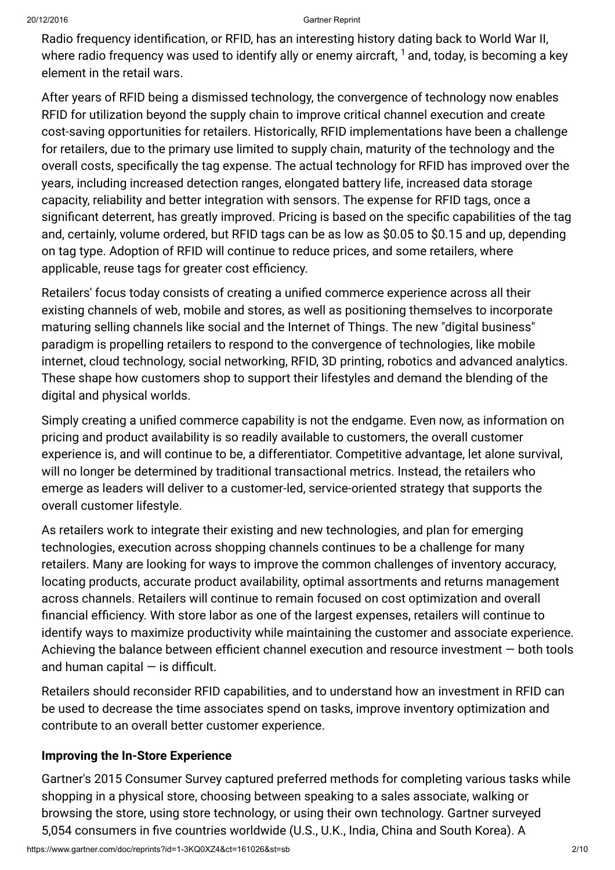Radio frequency identification, or RFID, has an interesting history dating back to World War II, where radio frequency was used to identify ally or enemy aircraft,  ${}^{1}\!$  ${}^{1}\!$  ${}^{1}\!$  and, today, is becoming a key element in the retail wars.

After years of RFID being a dismissed technology, the convergence of technology now enables RFID for utilization beyond the supply chain to improve critical channel execution and create cost-saving opportunities for retailers. Historically, RFID implementations have been a challenge for retailers, due to the primary use limited to supply chain, maturity of the technology and the overall costs, specifically the tag expense. The actual technology for RFID has improved over the years, including increased detection ranges, elongated battery life, increased data storage capacity, reliability and better integration with sensors. The expense for RFID tags, once a significant deterrent, has greatly improved. Pricing is based on the specific capabilities of the tag and, certainly, volume ordered, but RFID tags can be as low as \$0.05 to \$0.15 and up, depending on tag type. Adoption of RFID will continue to reduce prices, and some retailers, where applicable, reuse tags for greater cost efficiency.

Retailers' focus today consists of creating a unified commerce experience across all their existing channels of web, mobile and stores, as well as positioning themselves to incorporate maturing selling channels like social and the Internet of Things. The new "digital business" paradigm is propelling retailers to respond to the convergence of technologies, like mobile internet, cloud technology, social networking, RFID, 3D printing, robotics and advanced analytics. These shape how customers shop to support their lifestyles and demand the blending of the digital and physical worlds.

Simply creating a unified commerce capability is not the endgame. Even now, as information on pricing and product availability is so readily available to customers, the overall customer experience is, and will continue to be, a differentiator. Competitive advantage, let alone survival, will no longer be determined by traditional transactional metrics. Instead, the retailers who emerge as leaders will deliver to a customer-led, service-oriented strategy that supports the overall customer lifestyle.

As retailers work to integrate their existing and new technologies, and plan for emerging technologies, execution across shopping channels continues to be a challenge for many retailers. Many are looking for ways to improve the common challenges of inventory accuracy, locating products, accurate product availability, optimal assortments and returns management across channels. Retailers will continue to remain focused on cost optimization and overall financial efficiency. With store labor as one of the largest expenses, retailers will continue to identify ways to maximize productivity while maintaining the customer and associate experience. Achieving the balance between efficient channel execution and resource investment — both tools and human capital  $-$  is difficult.

Retailers should reconsider RFID capabilities, and to understand how an investment in RFID can be used to decrease the time associates spend on tasks, improve inventory optimization and contribute to an overall better customer experience.

## Improving the In-Store Experience

Gartner's 2015 Consumer Survey captured preferred methods for completing various tasks while shopping in a physical store, choosing between speaking to a sales associate, walking or browsing the store, using store technology, or using their own technology. Gartner surveyed 5,054 consumers in five countries worldwide (U.S., U.K., India, China and South Korea). A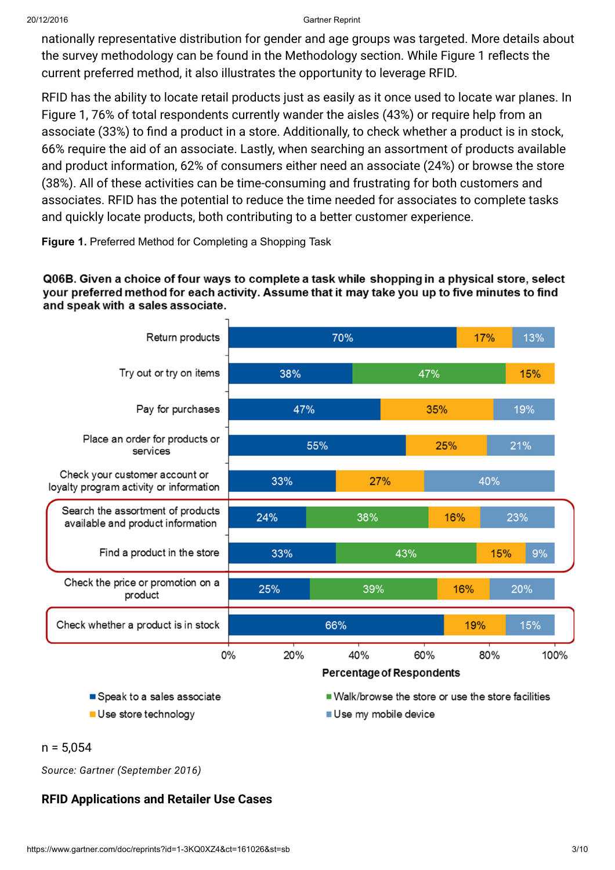nationally representative distribution for gender and age groups was targeted. More details about the survey methodology can be found in the Methodology section. While Figure 1 reflects the current preferred method, it also illustrates the opportunity to leverage RFID.

RFID has the ability to locate retail products just as easily as it once used to locate war planes. In Figure 1, 76% of total respondents currently wander the aisles (43%) or require help from an associate (33%) to find a product in a store. Additionally, to check whether a product is in stock, 66% require the aid of an associate. Lastly, when searching an assortment of products available and product information, 62% of consumers either need an associate (24%) or browse the store (38%). All of these activities can be time-consuming and frustrating for both customers and associates. RFID has the potential to reduce the time needed for associates to complete tasks and quickly locate products, both contributing to a better customer experience.

### Figure 1. Preferred Method for Completing a Shopping Task

#### Q06B. Given a choice of four ways to complete a task while shopping in a physical store, select your preferred method for each activity. Assume that it may take you up to five minutes to find and speak with a sales associate.



Use store technology

Use my mobile device

#### $n = 5.054$

Source: Gartner (September 2016)

## RFID Applications and Retailer Use Cases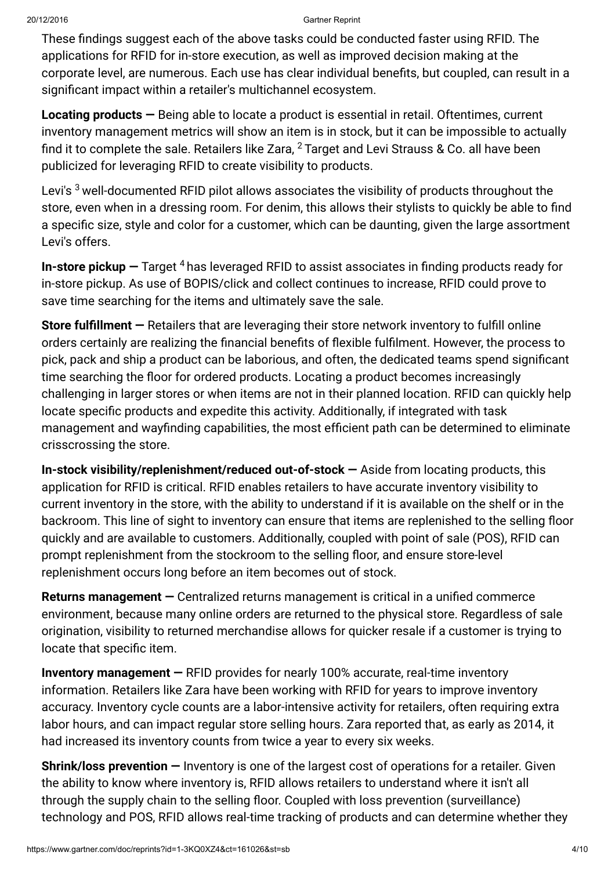These findings suggest each of the above tasks could be conducted faster using RFID. The applications for RFID for in-store execution, as well as improved decision making at the corporate level, are numerous. Each use has clear individual benefits, but coupled, can result in a significant impact within a retailer's multichannel ecosystem.

Locating products  $-$  Being able to locate a product is essential in retail. Oftentimes, current inventory management metrics will show an item is in stock, but it can be impossible to actually find it to complete the sale. Retailers like Zara,  $^2$  $^2$  Target and Levi Strauss & Co. all have been publicized for leveraging RFID to create visibility to products.

Levi's  $^3$  $^3$  well-documented RFID pilot allows associates the visibility of products throughout the store, even when in a dressing room. For denim, this allows their stylists to quickly be able to find a specific size, style and color for a customer, which can be daunting, given the large assortment Levi's offers.

**In-store pickup —** Target  $4$  has leveraged RFID to assist associates in finding products ready for in-store pickup. As use of BOPIS/click and collect continues to increase, RFID could prove to save time searching for the items and ultimately save the sale.

Store fulfillment — Retailers that are leveraging their store network inventory to fulfill online orders certainly are realizing the financial benefits of flexible fulfilment. However, the process to pick, pack and ship a product can be laborious, and often, the dedicated teams spend significant time searching the floor for ordered products. Locating a product becomes increasingly challenging in larger stores or when items are not in their planned location. RFID can quickly help locate specific products and expedite this activity. Additionally, if integrated with task management and wayfinding capabilities, the most efficient path can be determined to eliminate crisscrossing the store.

In-stock visibility/replenishment/reduced out-of-stock — Aside from locating products, this application for RFID is critical. RFID enables retailers to have accurate inventory visibility to current inventory in the store, with the ability to understand if it is available on the shelf or in the backroom. This line of sight to inventory can ensure that items are replenished to the selling floor quickly and are available to customers. Additionally, coupled with point of sale (POS), RFID can prompt replenishment from the stockroom to the selling floor, and ensure store-level replenishment occurs long before an item becomes out of stock.

Returns management — Centralized returns management is critical in a unified commerce environment, because many online orders are returned to the physical store. Regardless of sale origination, visibility to returned merchandise allows for quicker resale if a customer is trying to locate that specific item.

Inventory management — RFID provides for nearly 100% accurate, real-time inventory information. Retailers like Zara have been working with RFID for years to improve inventory accuracy. Inventory cycle counts are a labor-intensive activity for retailers, often requiring extra labor hours, and can impact regular store selling hours. Zara reported that, as early as 2014, it had increased its inventory counts from twice a year to every six weeks.

Shrink/loss prevention — Inventory is one of the largest cost of operations for a retailer. Given the ability to know where inventory is, RFID allows retailers to understand where it isn't all through the supply chain to the selling floor. Coupled with loss prevention (surveillance) technology and POS, RFID allows real-time tracking of products and can determine whether they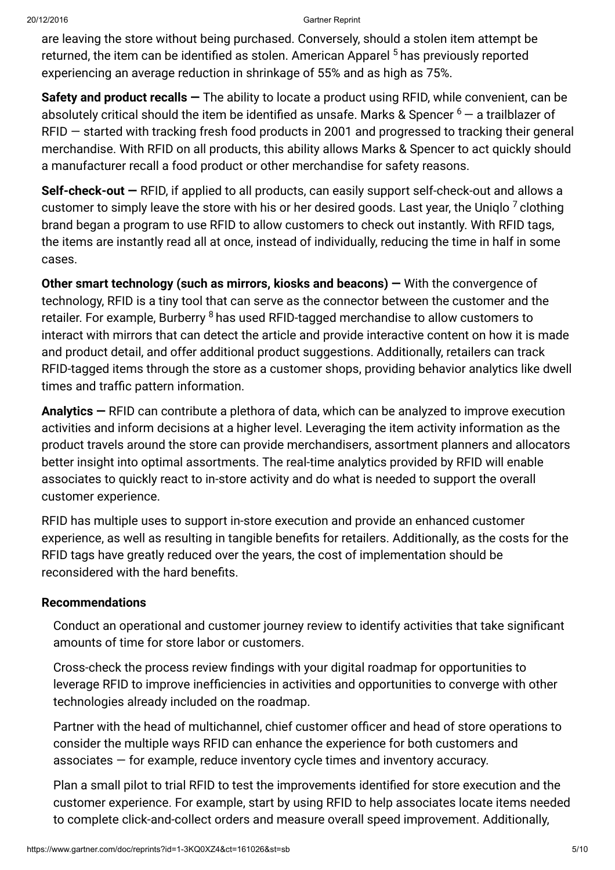are leaving the store without being purchased. Conversely, should a stolen item attempt be returned, the item can be identified as stolen. American Apparel <sup>[5](#page-5-4)</sup> has previously reported experiencing an average reduction in shrinkage of 55% and as high as 75%.

Safety and product recalls  $-$  The ability to locate a product using RFID, while convenient, can be absolutely critical should the item be identified as unsafe. Marks & Spencer  $^6 ^6 ^6-$  a trailblazer of RFID — started with tracking fresh food products in 2001 and progressed to tracking their general merchandise. With RFID on all products, this ability allows Marks & Spencer to act quickly should a manufacturer recall a food product or other merchandise for safety reasons.

Self-check-out – RFID, if applied to all products, can easily support self-check-out and allows a customer to simply leave the store with his or her desired goods. Last year, the Uniqlo  $^7$  $^7$  clothing brand began a program to use RFID to allow customers to check out instantly. With RFID tags, the items are instantly read all at once, instead of individually, reducing the time in half in some cases.

Other smart technology (such as mirrors, kiosks and beacons) — With the convergence of technology, RFID is a tiny tool that can serve as the connector between the customer and the retailer. For example, Burberry <sup>[8](#page-5-7)</sup> has used RFID-tagged merchandise to allow customers to interact with mirrors that can detect the article and provide interactive content on how it is made and product detail, and offer additional product suggestions. Additionally, retailers can track RFID-tagged items through the store as a customer shops, providing behavior analytics like dwell times and traffic pattern information.

Analytics – RFID can contribute a plethora of data, which can be analyzed to improve execution activities and inform decisions at a higher level. Leveraging the item activity information as the product travels around the store can provide merchandisers, assortment planners and allocators better insight into optimal assortments. The real-time analytics provided by RFID will enable associates to quickly react to in-store activity and do what is needed to support the overall customer experience.

RFID has multiple uses to support in-store execution and provide an enhanced customer experience, as well as resulting in tangible benefits for retailers. Additionally, as the costs for the RFID tags have greatly reduced over the years, the cost of implementation should be reconsidered with the hard benefits.

## Recommendations

Conduct an operational and customer journey review to identify activities that take significant amounts of time for store labor or customers.

Cross-check the process review findings with your digital roadmap for opportunities to leverage RFID to improve inefficiencies in activities and opportunities to converge with other technologies already included on the roadmap.

Partner with the head of multichannel, chief customer officer and head of store operations to consider the multiple ways RFID can enhance the experience for both customers and associates — for example, reduce inventory cycle times and inventory accuracy.

Plan a small pilot to trial RFID to test the improvements identified for store execution and the customer experience. For example, start by using RFID to help associates locate items needed to complete click-and-collect orders and measure overall speed improvement. Additionally,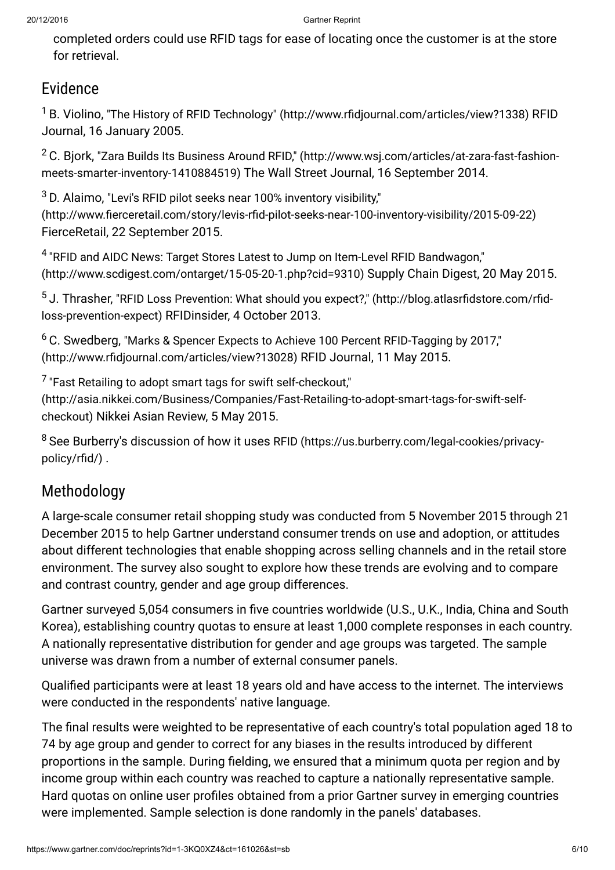completed orders could use RFID tags for ease of locating once the customer is at the store for retrieval.

## Evidence

<span id="page-5-0"></span> $^{\text{1}}$  B. Violino, "The History of RFID Technology" [\(http://www.rfidjournal.com/articles/view?1338\)](http://www.rfidjournal.com/articles/view?1338) RFID Journal, 16 January 2005.

<span id="page-5-1"></span> $^2$  C. Bjork, "Zara Builds Its Business Around RFID," [\(http://www.wsj.com/articles/at-zara-fast-fashion](http://www.wsj.com/articles/at-zara-fast-fashion-meets-smarter-inventory-1410884519)meets-smarter-inventory-1410884519) The Wall Street Journal, 16 September 2014.

<span id="page-5-2"></span> $^3$  D. Alaimo, "Levi's RFID pilot seeks near 100% inventory visibility," [\(http://www.fierceretail.com/story/levis-rfid-pilot-seeks-near-100-inventory-visibility/2015-09-22\)](http://www.fierceretail.com/story/levis-rfid-pilot-seeks-near-100-inventory-visibility/2015-09-22) FierceRetail, 22 September 2015.

<span id="page-5-3"></span> $^4$  "RFID and AIDC News: Target Stores Latest to Jump on Item-Level RFID Bandwagon," [\(http://www.scdigest.com/ontarget/15-05-20-1.php?cid=9310\)](http://www.scdigest.com/ontarget/15-05-20-1.php?cid=9310) Supply Chain Digest, 20 May 2015.

<span id="page-5-4"></span> $^5$  J. Thrasher, "RFID Loss Prevention: What should you expect?," [\(http://blog.atlasrfidstore.com/rfid](http://blog.atlasrfidstore.com/rfid-loss-prevention-expect)loss-prevention-expect) RFIDinsider, 4 October 2013.

<span id="page-5-5"></span> $^6$  C. Swedberg, "Marks & Spencer Expects to Achieve 100 Percent RFID-Tagging by 2017," [\(http://www.rfidjournal.com/articles/view?13028\)](http://www.rfidjournal.com/articles/view?13028) RFID Journal, 11 May 2015.

<span id="page-5-6"></span> $\mathrm{^{7}}$  "Fast Retailing to adopt smart tags for swift self-checkout,"

[\(http://asia.nikkei.com/Business/Companies/Fast-Retailing-to-adopt-smart-tags-for-swift-self](http://asia.nikkei.com/Business/Companies/Fast-Retailing-to-adopt-smart-tags-for-swift-self-checkout)checkout) Nikkei Asian Review, 5 May 2015.

<span id="page-5-7"></span> $^8$  See Burberry's discussion of how it uses RFID [\(https://us.burberry.com/legal-cookies/privacy](https://us.burberry.com/legal-cookies/privacy-policy/rfid/)policy/rfid/) .

# Methodology

A large-scale consumer retail shopping study was conducted from 5 November 2015 through 21 December 2015 to help Gartner understand consumer trends on use and adoption, or attitudes about different technologies that enable shopping across selling channels and in the retail store environment. The survey also sought to explore how these trends are evolving and to compare and contrast country, gender and age group differences.

Gartner surveyed 5,054 consumers in five countries worldwide (U.S., U.K., India, China and South Korea), establishing country quotas to ensure at least 1,000 complete responses in each country. A nationally representative distribution for gender and age groups was targeted. The sample universe was drawn from a number of external consumer panels.

Qualified participants were at least 18 years old and have access to the internet. The interviews were conducted in the respondents' native language.

The final results were weighted to be representative of each country's total population aged 18 to 74 by age group and gender to correct for any biases in the results introduced by different proportions in the sample. During fielding, we ensured that a minimum quota per region and by income group within each country was reached to capture a nationally representative sample. Hard quotas on online user profiles obtained from a prior Gartner survey in emerging countries were implemented. Sample selection is done randomly in the panels' databases.